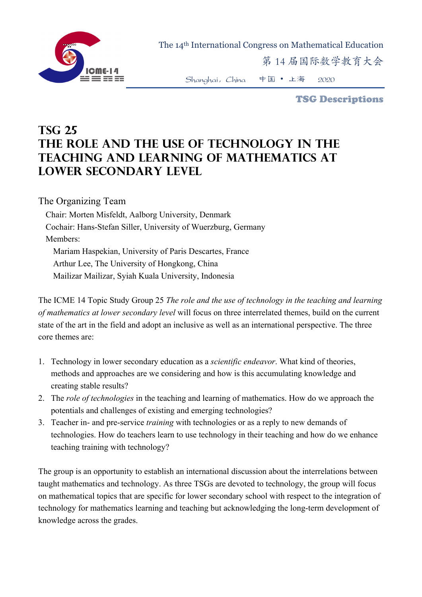

The 14th International Congress on Mathematical Education

第 14 届国际数学教育大会

Shanghai,China 中国 • 上海 2020

TSG Descriptions

## **TSG 25 The role and the use of technology in the teaching and learning of mathematics at lower secondary level**

The Organizing Team

Chair: Morten Misfeldt, Aalborg University, Denmark Cochair: Hans-Stefan Siller, University of Wuerzburg, Germany Members: Mariam Haspekian, University of Paris Descartes, France Arthur Lee, The University of Hongkong, China Mailizar Mailizar, Syiah Kuala University, Indonesia

The ICME 14 Topic Study Group 25 *The role and the use of technology in the teaching and learning of mathematics at lower secondary level* will focus on three interrelated themes, build on the current state of the art in the field and adopt an inclusive as well as an international perspective. The three core themes are:

- 1. Technology in lower secondary education as a *scientific endeavor*. What kind of theories, methods and approaches are we considering and how is this accumulating knowledge and creating stable results?
- 2. The *role of technologies* in the teaching and learning of mathematics. How do we approach the potentials and challenges of existing and emerging technologies?
- 3. Teacher in- and pre-service *training* with technologies or as a reply to new demands of technologies. How do teachers learn to use technology in their teaching and how do we enhance teaching training with technology?

The group is an opportunity to establish an international discussion about the interrelations between taught mathematics and technology. As three TSGs are devoted to technology, the group will focus on mathematical topics that are specific for lower secondary school with respect to the integration of technology for mathematics learning and teaching but acknowledging the long-term development of knowledge across the grades.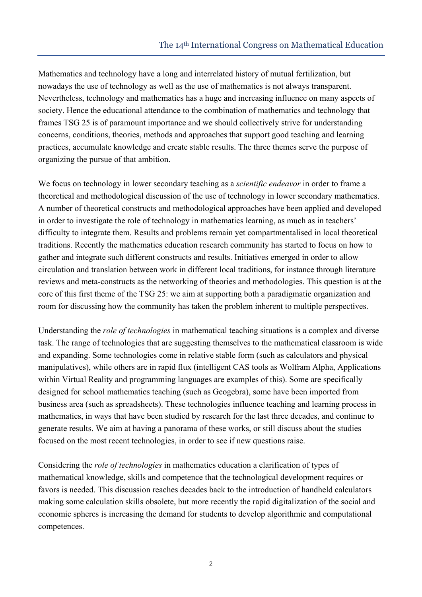Mathematics and technology have a long and interrelated history of mutual fertilization, but nowadays the use of technology as well as the use of mathematics is not always transparent. Nevertheless, technology and mathematics has a huge and increasing influence on many aspects of society. Hence the educational attendance to the combination of mathematics and technology that frames TSG 25 is of paramount importance and we should collectively strive for understanding concerns, conditions, theories, methods and approaches that support good teaching and learning practices, accumulate knowledge and create stable results. The three themes serve the purpose of organizing the pursue of that ambition.

We focus on technology in lower secondary teaching as a *scientific endeavor* in order to frame a theoretical and methodological discussion of the use of technology in lower secondary mathematics. A number of theoretical constructs and methodological approaches have been applied and developed in order to investigate the role of technology in mathematics learning, as much as in teachers' difficulty to integrate them. Results and problems remain yet compartmentalised in local theoretical traditions. Recently the mathematics education research community has started to focus on how to gather and integrate such different constructs and results. Initiatives emerged in order to allow circulation and translation between work in different local traditions, for instance through literature reviews and meta-constructs as the networking of theories and methodologies. This question is at the core of this first theme of the TSG 25: we aim at supporting both a paradigmatic organization and room for discussing how the community has taken the problem inherent to multiple perspectives.

Understanding the *role of technologies* in mathematical teaching situations is a complex and diverse task. The range of technologies that are suggesting themselves to the mathematical classroom is wide and expanding. Some technologies come in relative stable form (such as calculators and physical manipulatives), while others are in rapid flux (intelligent CAS tools as Wolfram Alpha, Applications within Virtual Reality and programming languages are examples of this). Some are specifically designed for school mathematics teaching (such as Geogebra), some have been imported from business area (such as spreadsheets). These technologies influence teaching and learning process in mathematics, in ways that have been studied by research for the last three decades, and continue to generate results. We aim at having a panorama of these works, or still discuss about the studies focused on the most recent technologies, in order to see if new questions raise.

Considering the *role of technologies* in mathematics education a clarification of types of mathematical knowledge, skills and competence that the technological development requires or favors is needed. This discussion reaches decades back to the introduction of handheld calculators making some calculation skills obsolete, but more recently the rapid digitalization of the social and economic spheres is increasing the demand for students to develop algorithmic and computational competences.